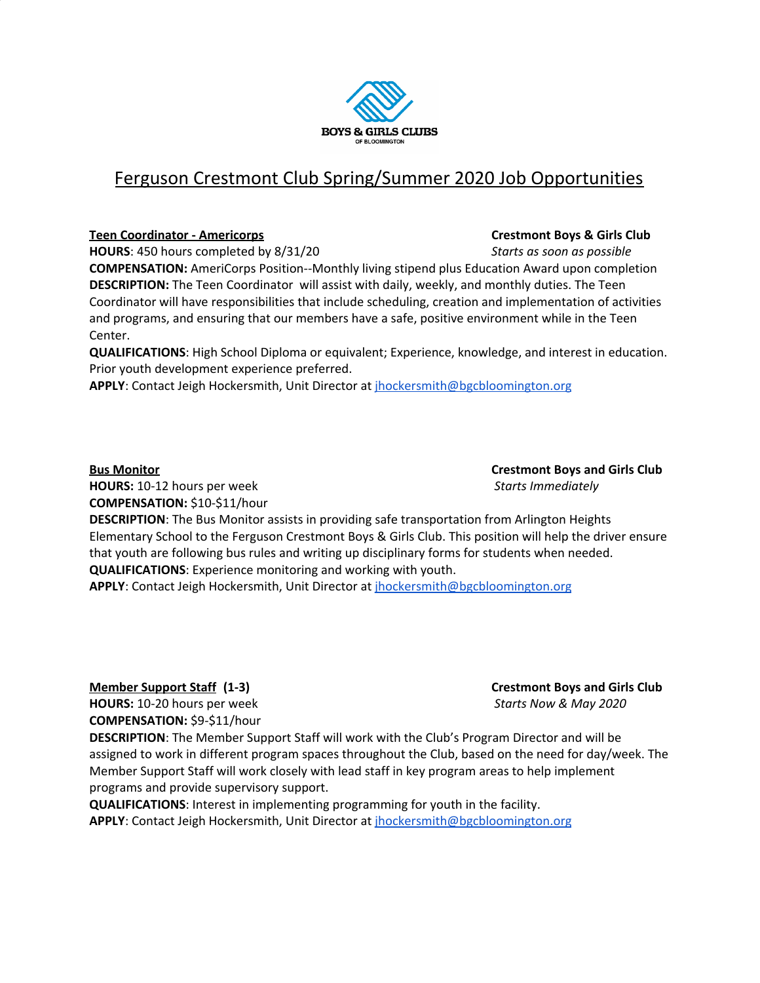

## Ferguson Crestmont Club Spring/Summer 2020 Job Opportunities

### **Teen Coordinator - Americorps Crestmont Boys & Girls Club**

**HOURS**: 450 hours completed by 8/31/20 *Starts as soon as possible*

**COMPENSATION:** AmeriCorps Position--Monthly living stipend plus Education Award upon completion **DESCRIPTION:** The Teen Coordinator will assist with daily, weekly, and monthly duties. The Teen Coordinator will have responsibilities that include scheduling, creation and implementation of activities and programs, and ensuring that our members have a safe, positive environment while in the Teen Center.

**QUALIFICATIONS**: High School Diploma or equivalent; Experience, knowledge, and interest in education. Prior youth development experience preferred.

**APPLY**: Contact Jeigh Hockersmith, Unit Director at [jhockersmith@bgcbloomington.org](mailto:jhockersmith@bgcbloomington.org)

**Bus Monitor Crestmont Boys and Girls Club**

**HOURS:** 10-12 hours per week *Starts Immediately* **COMPENSATION:** \$10-\$11/hour

**DESCRIPTION**: The Bus Monitor assists in providing safe transportation from Arlington Heights Elementary School to the Ferguson Crestmont Boys & Girls Club. This position will help the driver ensure that youth are following bus rules and writing up disciplinary forms for students when needed. **QUALIFICATIONS**: Experience monitoring and working with youth.

**APPLY**: Contact Jeigh Hockersmith, Unit Director at [jhockersmith@bgcbloomington.org](mailto:jhockersmith@bgcbloomington.org)

**HOURS:** 10-20 hours per week *Starts Now & May 2020* **COMPENSATION:** \$9-\$11/hour

**DESCRIPTION**: The Member Support Staff will work with the Club's Program Director and will be assigned to work in different program spaces throughout the Club, based on the need for day/week. The Member Support Staff will work closely with lead staff in key program areas to help implement programs and provide supervisory support.

**QUALIFICATIONS**: Interest in implementing programming for youth in the facility. **APPLY**: Contact Jeigh Hockersmith, Unit Director at [jhockersmith@bgcbloomington.org](mailto:jhockersmith@bgcbloomington.org)

**Member Support Staff (1-3) Crestmont Boys and Girls Club**